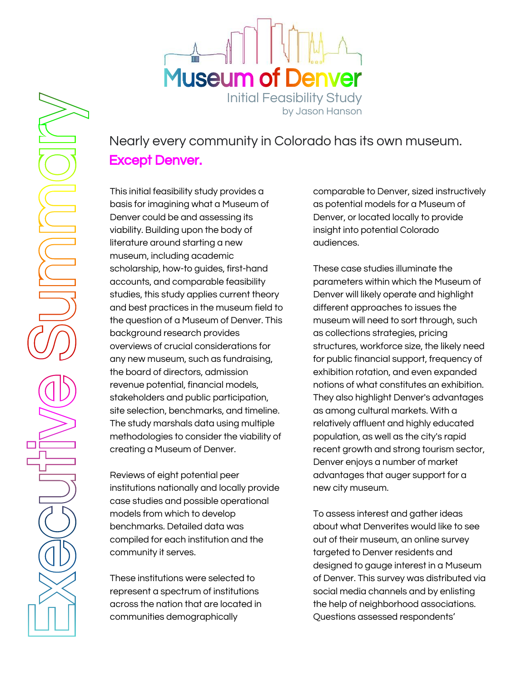



## Nearly every community in Colorado has its own museum. Except Denver.

This initial feasibility study provides a basis for imagining what a Museum of Denver could be and assessing its viability. Building upon the body of literature around starting a new museum, including academic scholarship, how-to guides, first-hand accounts, and comparable feasibility studies, this study applies current theory and best practices in the museum field to the question of a Museum of Denver. This background research provides overviews of crucial considerations for any new museum, such as fundraising, the board of directors, admission revenue potential, financial models, stakeholders and public participation, site selection, benchmarks, and timeline. The study marshals data using multiple methodologies to consider the viability of creating a Museum of Denver.

Reviews of eight potential peer institutions nationally and locally provide case studies and possible operational models from which to develop benchmarks. Detailed data was compiled for each institution and the community it serves.

These institutions were selected to represent a spectrum of institutions across the nation that are located in communities demographically

comparable to Denver, sized instructively as potential models for a Museum of Denver, or located locally to provide insight into potential Colorado audiences.

These case studies illuminate the parameters within which the Museum of Denver will likely operate and highlight different approaches to issues the museum will need to sort through, such as collections strategies, pricing structures, workforce size, the likely need for public financial support, frequency of exhibition rotation, and even expanded notions of what constitutes an exhibition. They also highlight Denver's advantages as among cultural markets. With a relatively affluent and highly educated population, as well as the city's rapid recent growth and strong tourism sector, Denver enjoys a number of market advantages that auger support for a new city museum.

To assess interest and gather ideas about what Denverites would like to see out of their museum, an online survey targeted to Denver residents and designed to gauge interest in a Museum of Denver. This survey was distributed via social media channels and by enlisting the help of neighborhood associations. Questions assessed respondents'